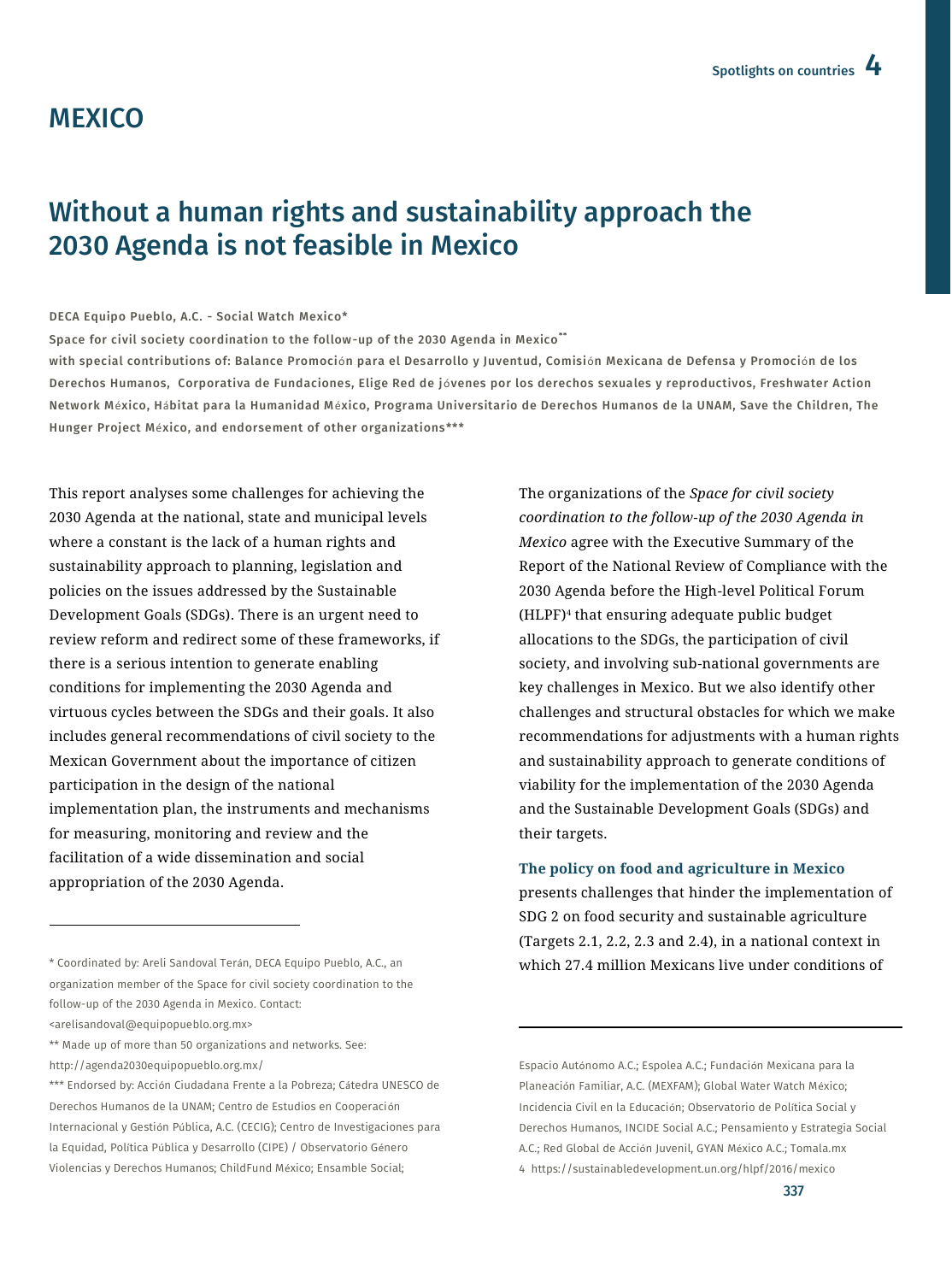## **MEXICO**

# Without a human rights and sustainability approach the 2030 Agenda is not feasible in Mexico

#### DECA Equipo Pueblo, A.C. - Social Watch Mexico\*

Space for civil society coordination to the follow-up of the 2030 Agenda in Mexico\*\*

with special contributions of: Balance Promoción para el Desarrollo y Juventud, Comisión Mexicana de Defensa y Promoción de los Derechos Humanos, Corporativa de Fundaciones, Elige Red de jóvenes por los derechos sexuales y reproductivos, Freshwater Action Network México, Hábitat para la Humanidad México, Programa Universitario de Derechos Humanos de la UNAM, Save the Children, The Hunger Project México, and endorsement of other organizations\*\*\*

**.** 

This report analyses some challenges for achieving the 2030 Agenda at the national, state and municipal levels where a constant is the lack of a human rights and sustainability approach to planning, legislation and policies on the issues addressed by the Sustainable Development Goals (SDGs). There is an urgent need to review reform and redirect some of these frameworks, if there is a serious intention to generate enabling conditions for implementing the 2030 Agenda and virtuous cycles between the SDGs and their goals. It also includes general recommendations of civil society to the Mexican Government about the importance of citizen participation in the design of the national implementation plan, the instruments and mechanisms for measuring, monitoring and review and the facilitation of a wide dissemination and social appropriation of the 2030 Agenda.

 $\overline{a}$ 

The organizations of the *Space for civil society coordination to the follow-up of the 2030 Agenda in Mexico* agree with the Executive Summary of the Report of the National Review of Compliance with the 2030 Agenda before the High-level Political Forum (HLPF)<sup>4</sup> that ensuring adequate public budget allocations to the SDGs, the participation of civil society, and involving sub-national governments are key challenges in Mexico. But we also identify other challenges and structural obstacles for which we make recommendations for adjustments with a human rights and sustainability approach to generate conditions of viability for the implementation of the 2030 Agenda and the Sustainable Development Goals (SDGs) and their targets.

#### **The policy on food and agriculture in Mexico**

presents challenges that hinder the implementation of SDG 2 on food security and sustainable agriculture (Targets 2.1, 2.2, 2.3 and 2.4), in a national context in which 27.4 million Mexicans live under conditions of

<sup>\*</sup> Coordinated by: Areli Sandoval Terán, DECA Equipo Pueblo, A.C., an organization member of the Space for civil society coordination to the follow-up of the 2030 Agenda in Mexico. Contact:

<sup>&</sup>lt;arelisandoval@equipopueblo.org.mx>

<sup>\*\*</sup> Made up of more than 50 organizations and networks. See: <http://agenda2030equipopueblo.org.mx/>

<sup>\*\*\*</sup> Endorsed by: Acción Ciudadana Frente a la Pobreza; Cátedra UNESCO de Derechos Humanos de la UNAM; Centro de Estudios en Cooperación Internacional y Gestión Pública, A.C. (CECIG); Centro de Investigaciones para la Equidad, Política Pública y Desarrollo (CIPE) / Observatorio Género Violencias y Derechos Humanos; ChildFund México; Ensamble Social;

Espacio Autónomo A.C.; Espolea A.C.; Fundación Mexicana para la Planeación Familiar, A.C. (MEXFAM); Global Water Watch México; Incidencia Civil en la Educación; Observatorio de Política Social y Derechos Humanos, INCIDE Social A.C.; Pensamiento y Estrategia Social A.C.; Red Global de Acción Juvenil, GYAN México A.C.; Tomala.mx 4<https://sustainabledevelopment.un.org/hlpf/2016/mexico>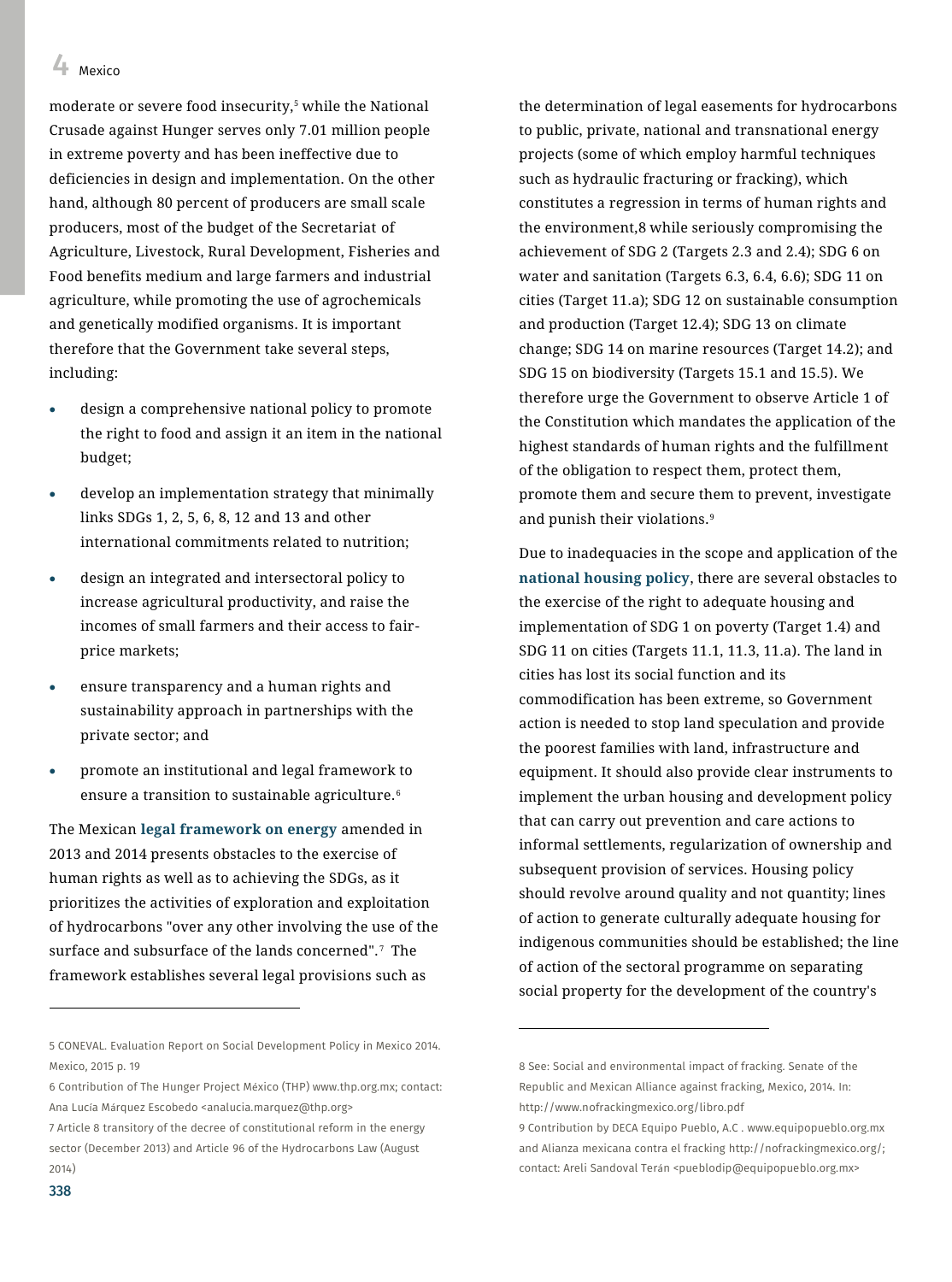### $4$  Mexico

moderate or severe food insecurity,<sup>5</sup> while the National Crusade against Hunger serves only 7.01 million people in extreme poverty and has been ineffective due to deficiencies in design and implementation. On the other hand, although 80 percent of producers are small scale producers, most of the budget of the Secretariat of Agriculture, Livestock, Rural Development, Fisheries and Food benefits medium and large farmers and industrial agriculture, while promoting the use of agrochemicals and genetically modified organisms. It is important therefore that the Government take several steps, including:

- design a comprehensive national policy to promote the right to food and assign it an item in the national budget;
- develop an implementation strategy that minimally links SDGs 1, 2, 5, 6, 8, 12 and 13 and other international commitments related to nutrition;
- design an integrated and intersectoral policy to increase agricultural productivity, and raise the incomes of small farmers and their access to fairprice markets;
- ensure transparency and a human rights and sustainability approach in partnerships with the private sector; and
- promote an institutional and legal framework to ensure a transition to sustainable agriculture.<sup>6</sup>

The Mexican **legal framework on energy** amended in 2013 and 2014 presents obstacles to the exercise of human rights as well as to achieving the SDGs, as it prioritizes the activities of exploration and exploitation of hydrocarbons "over any other involving the use of the surface and subsurface of the lands concerned".<sup>7</sup> The framework establishes several legal provisions such as

the determination of legal easements for hydrocarbons to public, private, national and transnational energy projects (some of which employ harmful techniques such as hydraulic fracturing or fracking), which constitutes a regression in terms of human rights and the environment,8 while seriously compromising the achievement of SDG 2 (Targets 2.3 and 2.4); SDG 6 on water and sanitation (Targets 6.3, 6.4, 6.6); SDG 11 on cities (Target 11.a); SDG 12 on sustainable consumption and production (Target 12.4); SDG 13 on climate change; SDG 14 on marine resources (Target 14.2); and SDG 15 on biodiversity (Targets 15.1 and 15.5). We therefore urge the Government to observe Article 1 of the Constitution which mandates the application of the highest standards of human rights and the fulfillment of the obligation to respect them, protect them, promote them and secure them to prevent, investigate and punish their violations.<sup>9</sup>

Due to inadequacies in the scope and application of the **national housing policy**, there are several obstacles to the exercise of the right to adequate housing and implementation of SDG 1 on poverty (Target 1.4) and SDG 11 on cities (Targets 11.1, 11.3, 11.a). The land in cities has lost its social function and its commodification has been extreme, so Government action is needed to stop land speculation and provide the poorest families with land, infrastructure and equipment. It should also provide clear instruments to implement the urban housing and development policy that can carry out prevention and care actions to informal settlements, regularization of ownership and subsequent provision of services. Housing policy should revolve around quality and not quantity; lines of action to generate culturally adequate housing for indigenous communities should be established; the line of action of the sectoral programme on separating social property for the development of the country's

 $\overline{a}$ 

1

<sup>5</sup> CONEVAL. Evaluation Report on Social Development Policy in Mexico 2014. Mexico, 2015 p. 19

<sup>6</sup> Contribution of The Hunger Project México (THP[\) www.thp.org.mx;](http://www.thp.org.mx/) contact: Ana Lucía Márquez Escobedo <analucia.marquez@thp.org>

<sup>7</sup> Article 8 transitory of the decree of constitutional reform in the energy sector (December 2013) and Article 96 of the Hydrocarbons Law (August 2014)

<sup>8</sup> See: Social and environmental impact of fracking. Senate of the Republic and Mexican Alliance against fracking, Mexico, 2014. In: <http://www.nofrackingmexico.org/libro.pdf>

<sup>9</sup> Contribution by DECA Equipo Pueblo, A.C . [www.equipopueblo.org.mx](http://www.equipopueblo.org.mx/) and Alianza mexicana contra el frackin[g http://nofrackingmexico.org/;](http://nofrackingmexico.org/)  contact: Areli Sandoval Terán <pueblodip@equipopueblo.org.mx>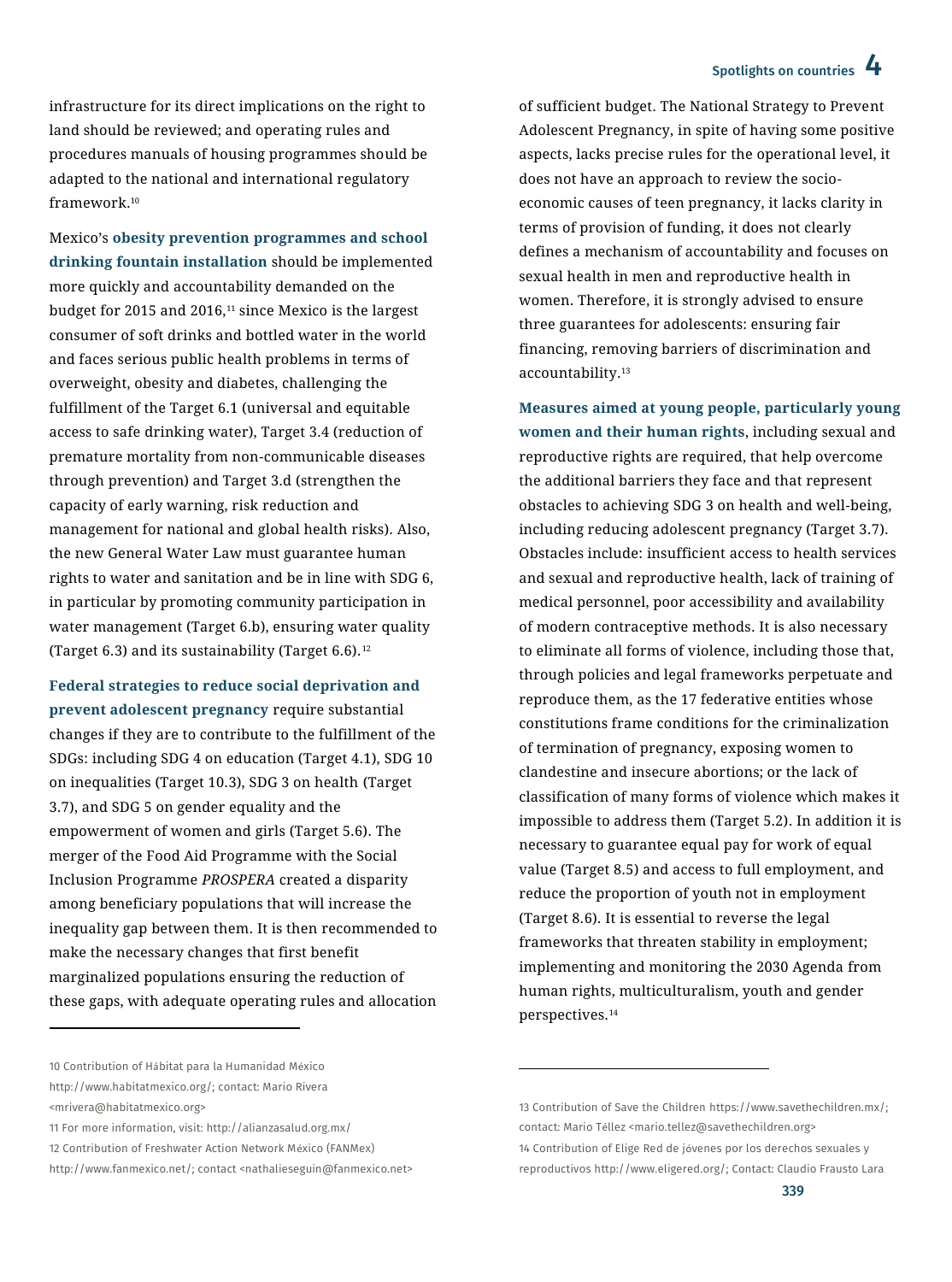### Spotlights on countries 4

infrastructure for its direct implications on the right to land should be reviewed; and operating rules and procedures manuals of housing programmes should be adapted to the national and international regulatory framework<sup>10</sup>

Mexico's **obesity prevention programmes and school drinking fountain installation** should be implemented more quickly and accountability demanded on the budget for 2015 and 2016, $11$  since Mexico is the largest consumer of soft drinks and bottled water in the world and faces serious public health problems in terms of overweight, obesity and diabetes, challenging the fulfillment of the Target 6.1 (universal and equitable access to safe drinking water), Target 3.4 (reduction of premature mortality from non-communicable diseases through prevention) and Target 3.d (strengthen the capacity of early warning, risk reduction and management for national and global health risks). Also, the new General Water Law must guarantee human rights to water and sanitation and be in line with SDG 6, in particular by promoting community participation in water management (Target 6.b), ensuring water quality (Target 6.3) and its sustainability (Target 6.6). <sup>12</sup>

**Federal strategies to reduce social deprivation and prevent adolescent pregnancy** require substantial changes if they are to contribute to the fulfillment of the SDGs: including SDG 4 on education (Target 4.1), SDG 10 on inequalities (Target 10.3), SDG 3 on health (Target 3.7), and SDG 5 on gender equality and the empowerment of women and girls (Target 5.6). The merger of the Food Aid Programme with the Social Inclusion Programme *PROSPERA* created a disparity among beneficiary populations that will increase the inequality gap between them. It is then recommended to make the necessary changes that first benefit marginalized populations ensuring the reduction of these gaps, with adequate operating rules and allocation

1

11 For more information, visit:<http://alianzasalud.org.mx/> 12 Contribution of Freshwater Action Network México (FANMex) [http://www.fanmexico.net/;](http://www.fanmexico.net/) contact <nathalieseguin@fanmexico.net>

of sufficient budget. The National Strategy to Prevent Adolescent Pregnancy, in spite of having some positive aspects, lacks precise rules for the operational level, it does not have an approach to review the socioeconomic causes of teen pregnancy, it lacks clarity in terms of provision of funding, it does not clearly defines a mechanism of accountability and focuses on sexual health in men and reproductive health in women. Therefore, it is strongly advised to ensure three guarantees for adolescents: ensuring fair financing, removing barriers of discrimination and accountability.<sup>13</sup>

**Measures aimed at young people, particularly young women and their human rights**, including sexual and reproductive rights are required, that help overcome the additional barriers they face and that represent obstacles to achieving SDG 3 on health and well-being, including reducing adolescent pregnancy (Target 3.7). Obstacles include: insufficient access to health services and sexual and reproductive health, lack of training of medical personnel, poor accessibility and availability of modern contraceptive methods. It is also necessary to eliminate all forms of violence, including those that, through policies and legal frameworks perpetuate and reproduce them, as the 17 federative entities whose constitutions frame conditions for the criminalization of termination of pregnancy, exposing women to clandestine and insecure abortions; or the lack of classification of many forms of violence which makes it impossible to address them (Target 5.2). In addition it is necessary to guarantee equal pay for work of equal value (Target 8.5) and access to full employment, and reduce the proportion of youth not in employment (Target 8.6). It is essential to reverse the legal frameworks that threaten stability in employment; implementing and monitoring the 2030 Agenda from human rights, multiculturalism, youth and gender perspectives.<sup>14</sup>

 $\overline{\phantom{a}}$ 

<sup>10</sup> Contribution of Hábitat para la Humanidad México [http://www.habitatmexico.org/;](http://www.habitatmexico.org/) contact: Mario Rivera <mrivera@habitatmexico.org>

<sup>13</sup> Contribution of Save the Childre[n https://www.savethechildren.mx/;](https://www.savethechildren.mx/)  contact: Mario Téllez <mario.tellez@savethechildren.org> 14 Contribution of Elige Red de jóvenes por los derechos sexuales y reproductivo[s http://www.eligered.org/;](http://www.eligered.org/) Contact: Claudio Frausto Lara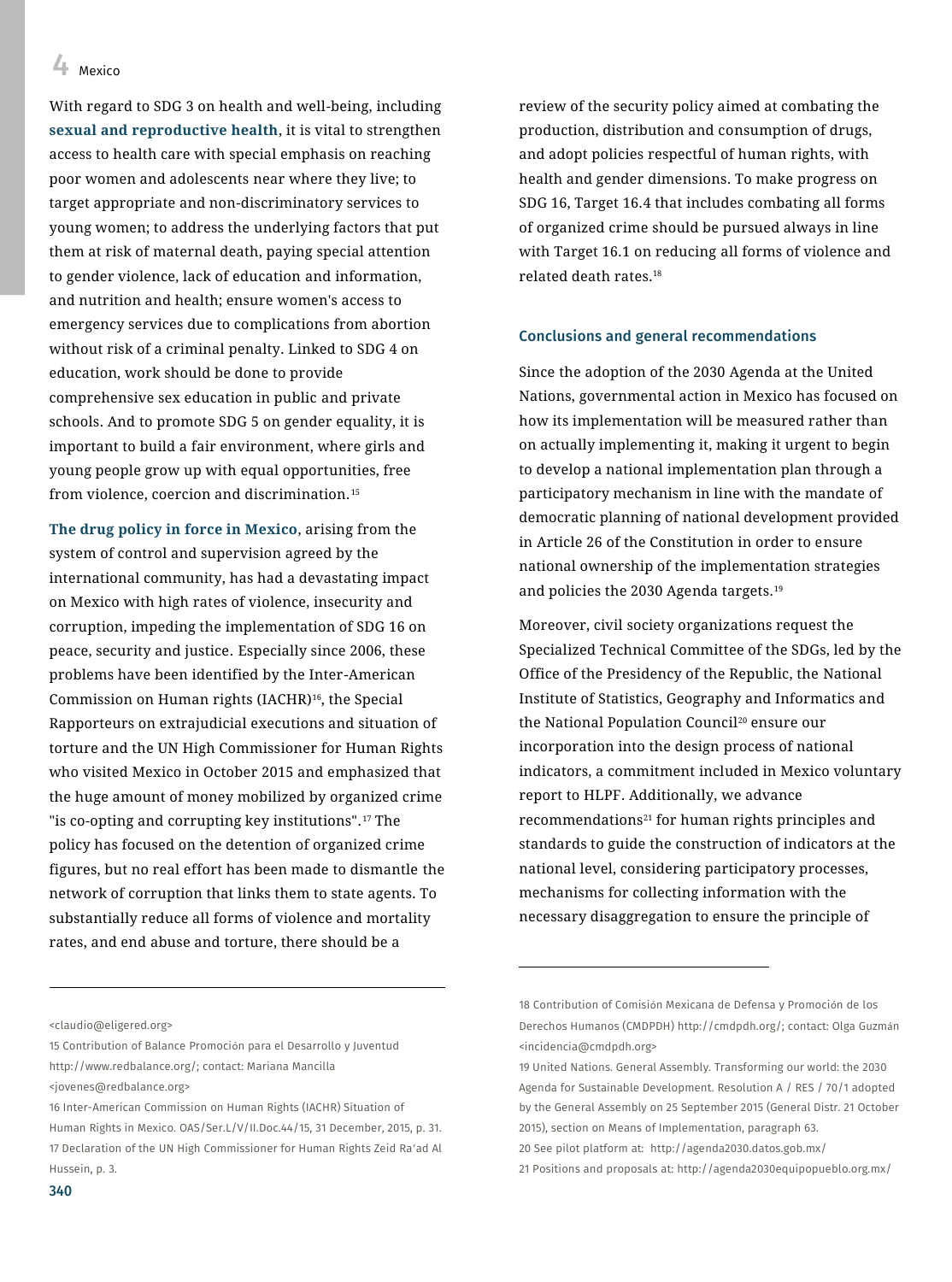### $4$  Mexico

With regard to SDG 3 on health and well-being, including **sexual and reproductive health**, it is vital to strengthen access to health care with special emphasis on reaching poor women and adolescents near where they live; to target appropriate and non-discriminatory services to young women; to address the underlying factors that put them at risk of maternal death, paying special attention to gender violence, lack of education and information, and nutrition and health; ensure women's access to emergency services due to complications from abortion without risk of a criminal penalty. Linked to SDG 4 on education, work should be done to provide comprehensive sex education in public and private schools. And to promote SDG 5 on gender equality, it is important to build a fair environment, where girls and young people grow up with equal opportunities, free from violence, coercion and discrimination.<sup>15</sup>

**The drug policy in force in Mexico**, arising from the system of control and supervision agreed by the international community, has had a devastating impact on Mexico with high rates of violence, insecurity and corruption, impeding the implementation of SDG 16 on peace, security and justice. Especially since 2006, these problems have been identified by the Inter-American Commission on Human rights (IACHR)<sup>16</sup>, the Special Rapporteurs on extrajudicial executions and situation of torture and the UN High Commissioner for Human Rights who visited Mexico in October 2015 and emphasized that the huge amount of money mobilized by organized crime "is co-opting and corrupting key institutions".<sup>17</sup> The policy has focused on the detention of organized crime figures, but no real effort has been made to dismantle the network of corruption that links them to state agents. To substantially reduce all forms of violence and mortality rates, and end abuse and torture, there should be a

review of the security policy aimed at combating the production, distribution and consumption of drugs, and adopt policies respectful of human rights, with health and gender dimensions. To make progress on SDG 16, Target 16.4 that includes combating all forms of organized crime should be pursued always in line with Target 16.1 on reducing all forms of violence and related death rates.<sup>18</sup>

#### Conclusions and general recommendations

Since the adoption of the 2030 Agenda at the United Nations, governmental action in Mexico has focused on how its implementation will be measured rather than on actually implementing it, making it urgent to begin to develop a national implementation plan through a participatory mechanism in line with the mandate of democratic planning of national development provided in Article 26 of the Constitution in order to ensure national ownership of the implementation strategies and policies the 2030 Agenda targets.<sup>19</sup>

Moreover, civil society organizations request the Specialized Technical Committee of the SDGs, led by the Office of the Presidency of the Republic, the National Institute of Statistics, Geography and Informatics and the National Population Council<sup>20</sup> ensure our incorporation into the design process of national indicators, a commitment included in Mexico voluntary report to HLPF. Additionally, we advance recommendations<sup>21</sup> for human rights principles and standards to guide the construction of indicators at the national level, considering participatory processes, mechanisms for collecting information with the necessary disaggregation to ensure the principle of

<claudio@eligered.org>

15 Contribution of Balance Promoción para el Desarrollo y Juventud [http://www.redbalance.org/;](http://www.redbalance.org/) contact: Mariana Mancilla <jovenes@redbalance.org>

16 Inter-American Commission on Human Rights (IACHR) Situation of Human Rights in Mexico. OAS/Ser.L/V/II.Doc.44/15, 31 December, 2015, p. 31. 17 Declaration of the UN High Commissioner for Human Rights Zeid Ra'ad Al Hussein, p. 3.

 $\overline{a}$ 

20 See pilot platform at:<http://agenda2030.datos.gob.mx/> 21 Positions and proposals at[: http://agenda2030equipopueblo.org.mx/](http://agenda2030equipopueblo.org.mx/)

 $\overline{a}$ 

<sup>18</sup> Contribution of Comisión Mexicana de Defensa y Promoción de los Derechos Humanos (CMDPDH) [http://cmdpdh.org/;](http://cmdpdh.org/) contact: Olga Guzmán <incidencia@cmdpdh.org>

<sup>19</sup> United Nations. General Assembly. Transforming our world: the 2030 Agenda for Sustainable Development. Resolution A / RES / 70/1 adopted by the General Assembly on 25 September 2015 (General Distr. 21 October 2015), section on Means of Implementation, paragraph 63.